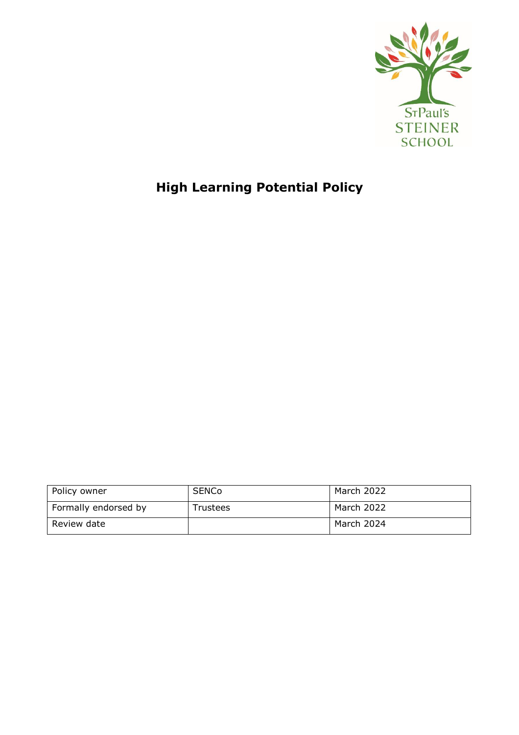

# **High Learning Potential Policy**

| Policy owner         | <b>SENCo</b>    | March 2022 |
|----------------------|-----------------|------------|
| Formally endorsed by | <b>Trustees</b> | March 2022 |
| Review date          |                 | March 2024 |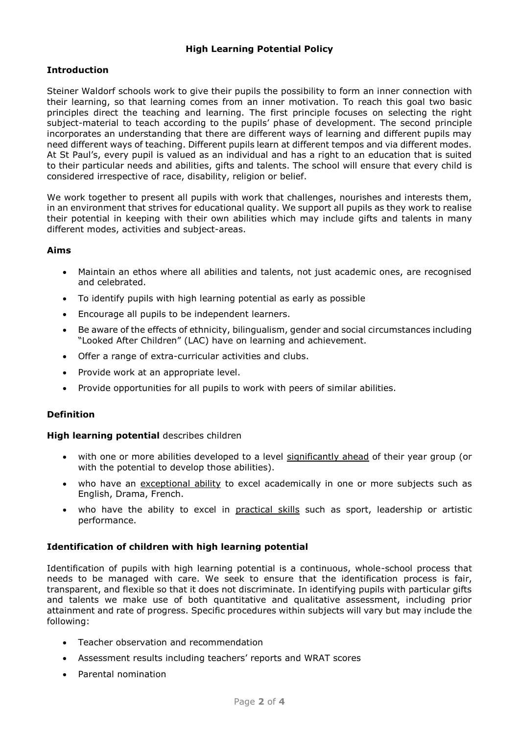## **High Learning Potential Policy**

## **Introduction**

Steiner Waldorf schools work to give their pupils the possibility to form an inner connection with their learning, so that learning comes from an inner motivation. To reach this goal two basic principles direct the teaching and learning. The first principle focuses on selecting the right subject-material to teach according to the pupils' phase of development. The second principle incorporates an understanding that there are different ways of learning and different pupils may need different ways of teaching. Different pupils learn at different tempos and via different modes. At St Paul's, every pupil is valued as an individual and has a right to an education that is suited to their particular needs and abilities, gifts and talents. The school will ensure that every child is considered irrespective of race, disability, religion or belief.

We work together to present all pupils with work that challenges, nourishes and interests them, in an environment that strives for educational quality. We support all pupils as they work to realise their potential in keeping with their own abilities which may include gifts and talents in many different modes, activities and subject-areas.

## **Aims**

- Maintain an ethos where all abilities and talents, not just academic ones, are recognised and celebrated.
- To identify pupils with high learning potential as early as possible
- Encourage all pupils to be independent learners.
- Be aware of the effects of ethnicity, bilingualism, gender and social circumstances including "Looked After Children" (LAC) have on learning and achievement.
- Offer a range of extra-curricular activities and clubs.
- Provide work at an appropriate level.
- Provide opportunities for all pupils to work with peers of similar abilities.

## **Definition**

#### **High learning potential** describes children

- with one or more abilities developed to a level significantly ahead of their year group (or with the potential to develop those abilities).
- who have an exceptional ability to excel academically in one or more subjects such as English, Drama, French.
- who have the ability to excel in practical skills such as sport, leadership or artistic performance.

## **Identification of children with high learning potential**

Identification of pupils with high learning potential is a continuous, whole-school process that needs to be managed with care. We seek to ensure that the identification process is fair, transparent, and flexible so that it does not discriminate. In identifying pupils with particular gifts and talents we make use of both quantitative and qualitative assessment, including prior attainment and rate of progress. Specific procedures within subjects will vary but may include the following:

- Teacher observation and recommendation
- Assessment results including teachers' reports and WRAT scores
- Parental nomination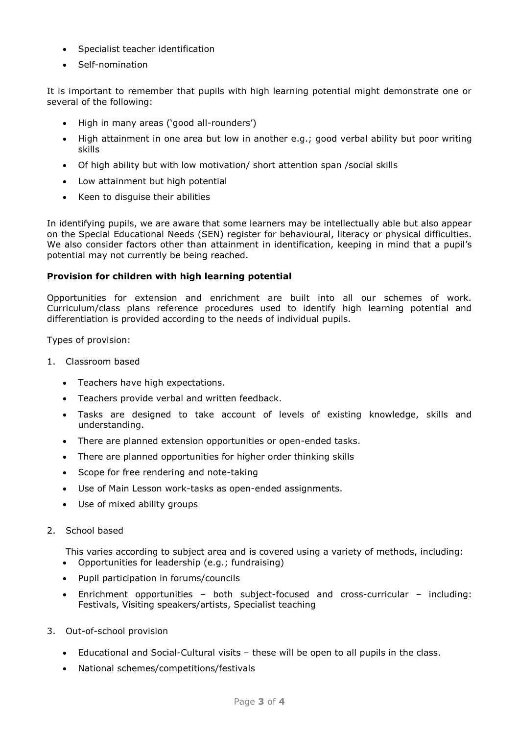- Specialist teacher identification
- Self-nomination

It is important to remember that pupils with high learning potential might demonstrate one or several of the following:

- High in many areas ('good all-rounders')
- High attainment in one area but low in another e.g.; good verbal ability but poor writing skills
- Of high ability but with low motivation/ short attention span /social skills
- Low attainment but high potential
- Keen to disquise their abilities

In identifying pupils, we are aware that some learners may be intellectually able but also appear on the Special Educational Needs (SEN) register for behavioural, literacy or physical difficulties. We also consider factors other than attainment in identification, keeping in mind that a pupil's potential may not currently be being reached.

## **Provision for children with high learning potential**

Opportunities for extension and enrichment are built into all our schemes of work. Curriculum/class plans reference procedures used to identify high learning potential and differentiation is provided according to the needs of individual pupils.

Types of provision:

- 1. Classroom based
	- Teachers have high expectations.
	- Teachers provide verbal and written feedback.
	- Tasks are designed to take account of levels of existing knowledge, skills and understanding.
	- There are planned extension opportunities or open-ended tasks.
	- There are planned opportunities for higher order thinking skills
	- Scope for free rendering and note-taking
	- Use of Main Lesson work-tasks as open-ended assignments.
	- Use of mixed ability groups
- 2. School based

This varies according to subject area and is covered using a variety of methods, including:

- Opportunities for leadership (e.g.; fundraising)
- Pupil participation in forums/councils
- Enrichment opportunities both subject-focused and cross-curricular including: Festivals, Visiting speakers/artists, Specialist teaching
- 3. Out-of-school provision
	- Educational and Social-Cultural visits these will be open to all pupils in the class.
	- National schemes/competitions/festivals